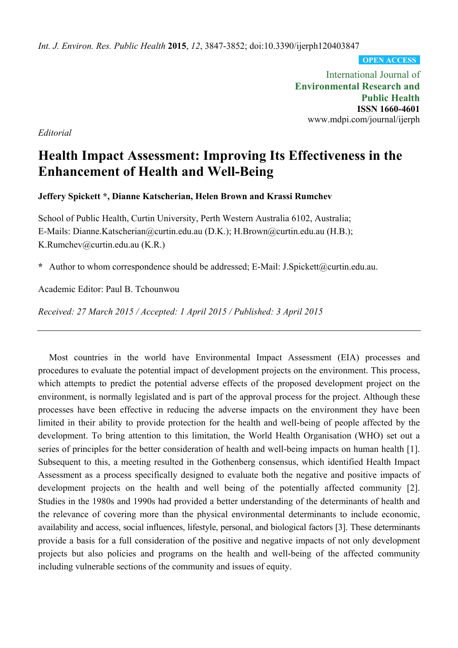*Int. J. Environ. Res. Public Health* **2015**, *12*, 3847-3852; doi:10.3390/ijerph120403847

**OPEN ACCESS**

International Journal of **Environmental Research and Public Health ISSN 1660-4601**  www.mdpi.com/journal/ijerph

*Editorial* 

# **Health Impact Assessment: Improving Its Effectiveness in the Enhancement of Health and Well-Being**

**Jeffery Spickett \*, Dianne Katscherian, Helen Brown and Krassi Rumchev** 

School of Public Health, Curtin University, Perth Western Australia 6102, Australia; E-Mails: Dianne.Katscherian@curtin.edu.au (D.K.); H.Brown@curtin.edu.au (H.B.); K.Rumchev@curtin.edu.au (K.R.)

**\*** Author to whom correspondence should be addressed; E-Mail: J.Spickett@curtin.edu.au.

Academic Editor: Paul B. Tchounwou

*Received: 27 March 2015 / Accepted: 1 April 2015 / Published: 3 April 2015* 

Most countries in the world have Environmental Impact Assessment (EIA) processes and procedures to evaluate the potential impact of development projects on the environment. This process, which attempts to predict the potential adverse effects of the proposed development project on the environment, is normally legislated and is part of the approval process for the project. Although these processes have been effective in reducing the adverse impacts on the environment they have been limited in their ability to provide protection for the health and well-being of people affected by the development. To bring attention to this limitation, the World Health Organisation (WHO) set out a series of principles for the better consideration of health and well-being impacts on human health [1]. Subsequent to this, a meeting resulted in the Gothenberg consensus, which identified Health Impact Assessment as a process specifically designed to evaluate both the negative and positive impacts of development projects on the health and well being of the potentially affected community [2]. Studies in the 1980s and 1990s had provided a better understanding of the determinants of health and the relevance of covering more than the physical environmental determinants to include economic, availability and access, social influences, lifestyle, personal, and biological factors [3]. These determinants provide a basis for a full consideration of the positive and negative impacts of not only development projects but also policies and programs on the health and well-being of the affected community including vulnerable sections of the community and issues of equity.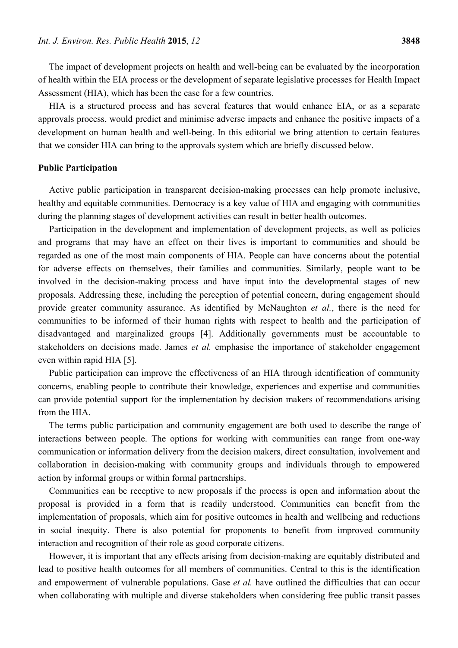The impact of development projects on health and well-being can be evaluated by the incorporation of health within the EIA process or the development of separate legislative processes for Health Impact Assessment (HIA), which has been the case for a few countries.

HIA is a structured process and has several features that would enhance EIA, or as a separate approvals process, would predict and minimise adverse impacts and enhance the positive impacts of a development on human health and well-being. In this editorial we bring attention to certain features that we consider HIA can bring to the approvals system which are briefly discussed below.

#### **Public Participation**

Active public participation in transparent decision-making processes can help promote inclusive, healthy and equitable communities. Democracy is a key value of HIA and engaging with communities during the planning stages of development activities can result in better health outcomes.

Participation in the development and implementation of development projects, as well as policies and programs that may have an effect on their lives is important to communities and should be regarded as one of the most main components of HIA. People can have concerns about the potential for adverse effects on themselves, their families and communities. Similarly, people want to be involved in the decision-making process and have input into the developmental stages of new proposals. Addressing these, including the perception of potential concern, during engagement should provide greater community assurance. As identified by McNaughton *et al.*, there is the need for communities to be informed of their human rights with respect to health and the participation of disadvantaged and marginalized groups [4]. Additionally governments must be accountable to stakeholders on decisions made. James *et al.* emphasise the importance of stakeholder engagement even within rapid HIA [5].

Public participation can improve the effectiveness of an HIA through identification of community concerns, enabling people to contribute their knowledge, experiences and expertise and communities can provide potential support for the implementation by decision makers of recommendations arising from the HIA.

The terms public participation and community engagement are both used to describe the range of interactions between people. The options for working with communities can range from one-way communication or information delivery from the decision makers, direct consultation, involvement and collaboration in decision-making with community groups and individuals through to empowered action by informal groups or within formal partnerships.

Communities can be receptive to new proposals if the process is open and information about the proposal is provided in a form that is readily understood. Communities can benefit from the implementation of proposals, which aim for positive outcomes in health and wellbeing and reductions in social inequity. There is also potential for proponents to benefit from improved community interaction and recognition of their role as good corporate citizens.

However, it is important that any effects arising from decision-making are equitably distributed and lead to positive health outcomes for all members of communities. Central to this is the identification and empowerment of vulnerable populations. Gase *et al.* have outlined the difficulties that can occur when collaborating with multiple and diverse stakeholders when considering free public transit passes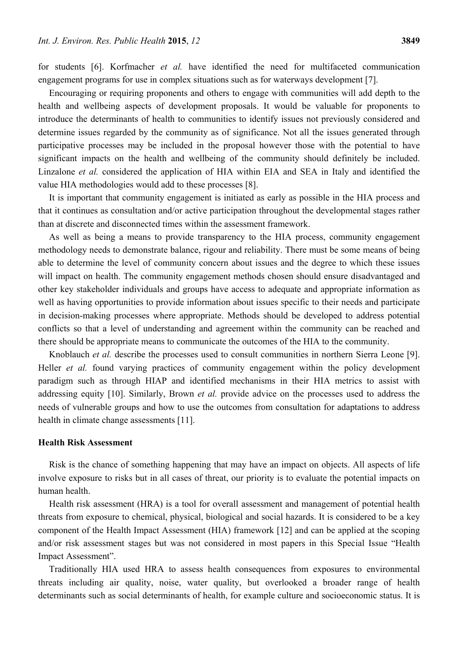for students [6]. Korfmacher *et al.* have identified the need for multifaceted communication engagement programs for use in complex situations such as for waterways development [7].

Encouraging or requiring proponents and others to engage with communities will add depth to the health and wellbeing aspects of development proposals. It would be valuable for proponents to introduce the determinants of health to communities to identify issues not previously considered and determine issues regarded by the community as of significance. Not all the issues generated through participative processes may be included in the proposal however those with the potential to have significant impacts on the health and wellbeing of the community should definitely be included. Linzalone *et al.* considered the application of HIA within EIA and SEA in Italy and identified the value HIA methodologies would add to these processes [8].

It is important that community engagement is initiated as early as possible in the HIA process and that it continues as consultation and/or active participation throughout the developmental stages rather than at discrete and disconnected times within the assessment framework.

As well as being a means to provide transparency to the HIA process, community engagement methodology needs to demonstrate balance, rigour and reliability. There must be some means of being able to determine the level of community concern about issues and the degree to which these issues will impact on health. The community engagement methods chosen should ensure disadvantaged and other key stakeholder individuals and groups have access to adequate and appropriate information as well as having opportunities to provide information about issues specific to their needs and participate in decision-making processes where appropriate. Methods should be developed to address potential conflicts so that a level of understanding and agreement within the community can be reached and there should be appropriate means to communicate the outcomes of the HIA to the community.

Knoblauch *et al.* describe the processes used to consult communities in northern Sierra Leone [9]. Heller *et al.* found varying practices of community engagement within the policy development paradigm such as through HIAP and identified mechanisms in their HIA metrics to assist with addressing equity [10]. Similarly, Brown *et al.* provide advice on the processes used to address the needs of vulnerable groups and how to use the outcomes from consultation for adaptations to address health in climate change assessments [11].

## **Health Risk Assessment**

Risk is the chance of something happening that may have an impact on objects. All aspects of life involve exposure to risks but in all cases of threat, our priority is to evaluate the potential impacts on human health.

Health risk assessment (HRA) is a tool for overall assessment and management of potential health threats from exposure to chemical, physical, biological and social hazards. It is considered to be a key component of the Health Impact Assessment (HIA) framework [12] and can be applied at the scoping and/or risk assessment stages but was not considered in most papers in this Special Issue "Health Impact Assessment".

Traditionally HIA used HRA to assess health consequences from exposures to environmental threats including air quality, noise, water quality, but overlooked a broader range of health determinants such as social determinants of health, for example culture and socioeconomic status. It is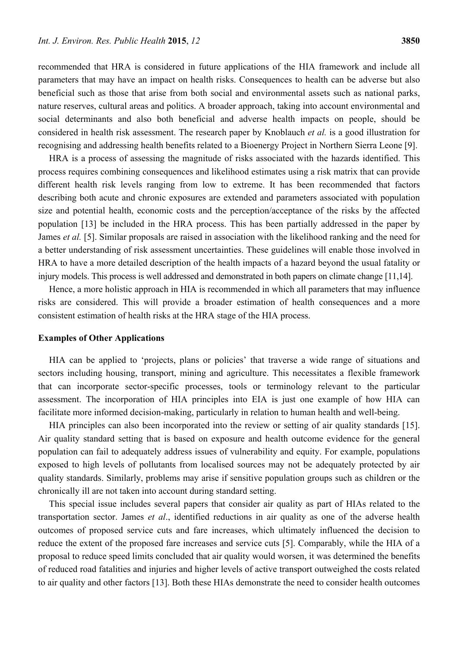recommended that HRA is considered in future applications of the HIA framework and include all parameters that may have an impact on health risks. Consequences to health can be adverse but also beneficial such as those that arise from both social and environmental assets such as national parks, nature reserves, cultural areas and politics. A broader approach, taking into account environmental and social determinants and also both beneficial and adverse health impacts on people, should be considered in health risk assessment. The research paper by Knoblauch *et al.* is a good illustration for recognising and addressing health benefits related to a Bioenergy Project in Northern Sierra Leone [9].

HRA is a process of assessing the magnitude of risks associated with the hazards identified. This process requires combining consequences and likelihood estimates using a risk matrix that can provide different health risk levels ranging from low to extreme. It has been recommended that factors describing both acute and chronic exposures are extended and parameters associated with population size and potential health, economic costs and the perception/acceptance of the risks by the affected population [13] be included in the HRA process. This has been partially addressed in the paper by James *et al.* [5]. Similar proposals are raised in association with the likelihood ranking and the need for a better understanding of risk assessment uncertainties. These guidelines will enable those involved in HRA to have a more detailed description of the health impacts of a hazard beyond the usual fatality or injury models. This process is well addressed and demonstrated in both papers on climate change [11,14].

Hence, a more holistic approach in HIA is recommended in which all parameters that may influence risks are considered. This will provide a broader estimation of health consequences and a more consistent estimation of health risks at the HRA stage of the HIA process.

#### **Examples of Other Applications**

HIA can be applied to 'projects, plans or policies' that traverse a wide range of situations and sectors including housing, transport, mining and agriculture. This necessitates a flexible framework that can incorporate sector-specific processes, tools or terminology relevant to the particular assessment. The incorporation of HIA principles into EIA is just one example of how HIA can facilitate more informed decision-making, particularly in relation to human health and well-being.

HIA principles can also been incorporated into the review or setting of air quality standards [15]. Air quality standard setting that is based on exposure and health outcome evidence for the general population can fail to adequately address issues of vulnerability and equity. For example, populations exposed to high levels of pollutants from localised sources may not be adequately protected by air quality standards. Similarly, problems may arise if sensitive population groups such as children or the chronically ill are not taken into account during standard setting.

This special issue includes several papers that consider air quality as part of HIAs related to the transportation sector. James *et al*., identified reductions in air quality as one of the adverse health outcomes of proposed service cuts and fare increases, which ultimately influenced the decision to reduce the extent of the proposed fare increases and service cuts [5]. Comparably, while the HIA of a proposal to reduce speed limits concluded that air quality would worsen, it was determined the benefits of reduced road fatalities and injuries and higher levels of active transport outweighed the costs related to air quality and other factors [13]. Both these HIAs demonstrate the need to consider health outcomes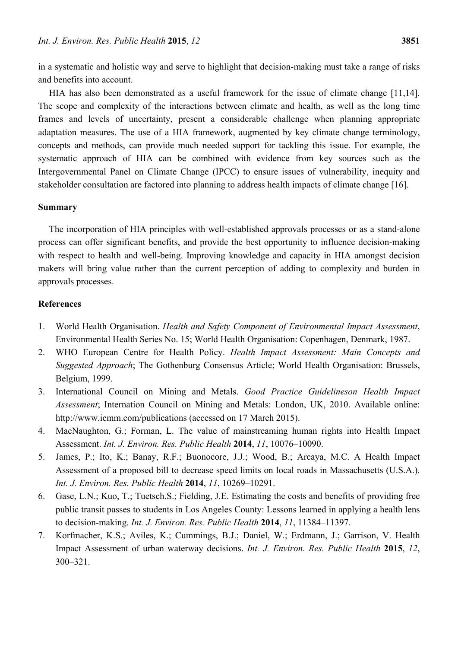in a systematic and holistic way and serve to highlight that decision-making must take a range of risks and benefits into account.

HIA has also been demonstrated as a useful framework for the issue of climate change [11,14]. The scope and complexity of the interactions between climate and health, as well as the long time frames and levels of uncertainty, present a considerable challenge when planning appropriate adaptation measures. The use of a HIA framework, augmented by key climate change terminology, concepts and methods, can provide much needed support for tackling this issue. For example, the systematic approach of HIA can be combined with evidence from key sources such as the Intergovernmental Panel on Climate Change (IPCC) to ensure issues of vulnerability, inequity and stakeholder consultation are factored into planning to address health impacts of climate change [16].

### **Summary**

The incorporation of HIA principles with well-established approvals processes or as a stand-alone process can offer significant benefits, and provide the best opportunity to influence decision-making with respect to health and well-being. Improving knowledge and capacity in HIA amongst decision makers will bring value rather than the current perception of adding to complexity and burden in approvals processes.

## **References**

- 1. World Health Organisation. *Health and Safety Component of Environmental Impact Assessment*, Environmental Health Series No. 15; World Health Organisation: Copenhagen, Denmark, 1987.
- 2. WHO European Centre for Health Policy. *Health Impact Assessment: Main Concepts and Suggested Approach*; The Gothenburg Consensus Article; World Health Organisation: Brussels, Belgium, 1999.
- 3. International Council on Mining and Metals. *Good Practice Guidelineson Health Impact Assessment*; Internation Council on Mining and Metals: London, UK, 2010. Available online: http://www.icmm.com/publications (accessed on 17 March 2015).
- 4. MacNaughton, G.; Forman, L. The value of mainstreaming human rights into Health Impact Assessment. *Int. J. Environ. Res. Public Health* **2014**, *11*, 10076–10090.
- 5. James, P.; Ito, K.; Banay, R.F.; Buonocore, J.J.; Wood, B.; Arcaya, M.C. A Health Impact Assessment of a proposed bill to decrease speed limits on local roads in Massachusetts (U.S.A.). *Int. J. Environ. Res. Public Health* **2014**, *11*, 10269–10291.
- 6. Gase, L.N.; Kuo, T.; Tuetsch,S.; Fielding, J.E. Estimating the costs and benefits of providing free public transit passes to students in Los Angeles County: Lessons learned in applying a health lens to decision-making. *Int. J. Environ. Res. Public Health* **2014**, *11*, 11384–11397.
- 7. Korfmacher, K.S.; Aviles, K.; Cummings, B.J.; Daniel, W.; Erdmann, J.; Garrison, V. Health Impact Assessment of urban waterway decisions. *Int. J. Environ. Res. Public Health* **2015**, *12*, 300–321.